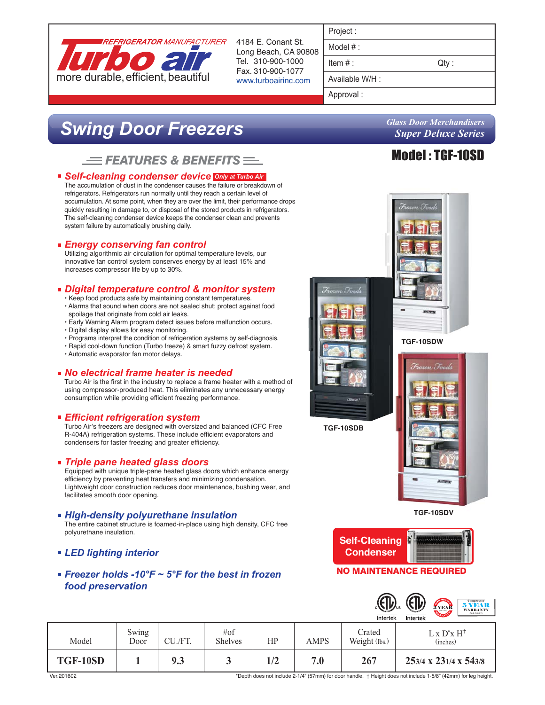

4184 E. Conant St. Long Beach, CA 90808 Tel. 310-900-1000 Fax. 310-900-1077 www.turboairinc.com

| roler |  |  |
|-------|--|--|
|       |  |  |

Model # :

 $Item #:$  Qty :

Available W/H :

Approval :

# *Swing Door Freezers*

# $\equiv$  Features & Benefits  $\equiv$

### *Self-cleaning condenser device Only at Turbo Air*

The accumulation of dust in the condenser causes the failure or breakdown of refrigerators. Refrigerators run normally until they reach a certain level of accumulation. At some point, when they are over the limit, their performance drops quickly resulting in damage to, or disposal of the stored products in refrigerators. The self-cleaning condenser device keeps the condenser clean and prevents system failure by automatically brushing daily.

# *Energy conserving fan control*

Utilizing algorithmic air circulation for optimal temperature levels, our innovative fan control system conserves energy by at least 15% and increases compressor life by up to 30%.

# *Digital temperature control & monitor system*

- Keep food products safe by maintaining constant temperatures. • Alarms that sound when doors are not sealed shut; protect against food
- spoilage that originate from cold air leaks. • Early Warning Alarm program detect issues before malfunction occurs.
- Digital display allows for easy monitoring.
- 
- Programs interpret the condition of refrigeration systems by self-diagnosis. • Rapid cool-down function (Turbo freeze) & smart fuzzy defrost system.
- Automatic evaporator fan motor delays.

#### *No electrical frame heater is needed*

Turbo Air is the first in the industry to replace a frame heater with a method of using compressor-produced heat. This eliminates any unnecessary energy consumption while providing efficient freezing performance.

# *Efficient refrigeration system*

Turbo Air's freezers are designed with oversized and balanced (CFC Free R-404A) refrigeration systems. These include efficient evaporators and condensers for faster freezing and greater efficiency.

# *Triple pane heated glass doors*

Equipped with unique triple-pane heated glass doors which enhance energy efficiency by preventing heat transfers and minimizing condensation. Lightweight door construction reduces door maintenance, bushing wear, and facilitates smooth door opening.

#### *High-density polyurethane insulation*

The entire cabinet structure is foamed-in-place using high density, CFC free polyurethane insulation.

- *LED lighting interior*
- *Freezer holds -10°F ~ 5°F for the best in frozen food preservation*



**TGF-10SDV**



### NO MAINTENANCE REQUIRED

|          |               |         |                       |     |             | $\left(\frac{1}{2}\right)$<br>Intertek | <b>ZER</b><br>Compressor<br><b>5 YEAR</b><br>3 YEAR<br><b>WARRANTY</b><br>(U.S.A only)<br>Intertek |
|----------|---------------|---------|-----------------------|-----|-------------|----------------------------------------|----------------------------------------------------------------------------------------------------|
| Model    | Swing<br>Door | CU./FT. | #of<br><b>Shelves</b> | HP  | <b>AMPS</b> | Crated<br>Weight (lbs.)                | $L \times D^* \times H^+$<br>(inches)                                                              |
| TGF-10SD |               | 9.3     |                       | 1/2 | 7.0         | 267                                    | 253/4 x 231/4 x 543/8                                                                              |

*Glass Door Merchandisers Super Deluxe Series*

# Model : TGF-10SD

\*Depth does not include 2-1/4" (57mm) for door handle. † Height does not include 1-5/8" (42mm) for leg height.